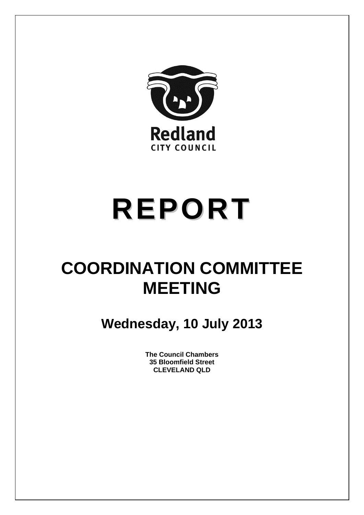

# **REPORT**

# **COORDINATION COMMITTEE MEETING**

**Wednesday, 10 July 2013** 

**The Council Chambers 35 Bloomfield Street CLEVELAND QLD**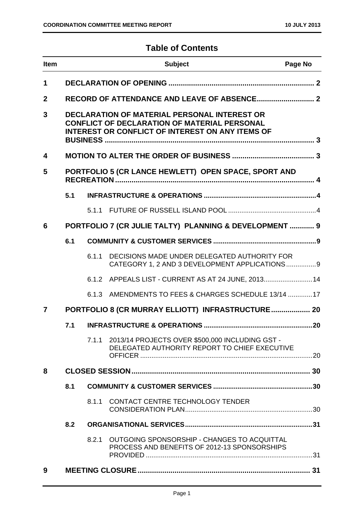## **Table of Contents**

| <b>Item</b>  | <b>Subject</b><br>Page No |       |                                                                                                                                                                       |  |
|--------------|---------------------------|-------|-----------------------------------------------------------------------------------------------------------------------------------------------------------------------|--|
| 1            |                           |       |                                                                                                                                                                       |  |
| $\mathbf{2}$ |                           |       |                                                                                                                                                                       |  |
| 3            |                           |       | <b>DECLARATION OF MATERIAL PERSONAL INTEREST OR</b><br><b>CONFLICT OF DECLARATION OF MATERIAL PERSONAL</b><br><b>INTEREST OR CONFLICT OF INTEREST ON ANY ITEMS OF</b> |  |
| 4            |                           |       |                                                                                                                                                                       |  |
| 5            |                           |       | PORTFOLIO 5 (CR LANCE HEWLETT) OPEN SPACE, SPORT AND                                                                                                                  |  |
|              | 5.1                       |       |                                                                                                                                                                       |  |
|              |                           |       |                                                                                                                                                                       |  |
| 6            |                           |       | PORTFOLIO 7 (CR JULIE TALTY) PLANNING & DEVELOPMENT  9                                                                                                                |  |
|              | 6.1                       |       |                                                                                                                                                                       |  |
|              |                           | 6.1.1 | DECISIONS MADE UNDER DELEGATED AUTHORITY FOR<br>CATEGORY 1, 2 AND 3 DEVELOPMENT APPLICATIONS 9                                                                        |  |
|              |                           |       | 6.1.2 APPEALS LIST - CURRENT AS AT 24 JUNE, 2013 14                                                                                                                   |  |
|              |                           | 6.1.3 | AMENDMENTS TO FEES & CHARGES SCHEDULE 13/14 17                                                                                                                        |  |
| 7            |                           |       | PORTFOLIO 8 (CR MURRAY ELLIOTT) INFRASTRUCTURE 20                                                                                                                     |  |
|              | 7.1                       |       |                                                                                                                                                                       |  |
|              |                           | 7.1.1 | 2013/14 PROJECTS OVER \$500,000 INCLUDING GST -<br>DELEGATED AUTHORITY REPORT TO CHIEF EXECUTIVE                                                                      |  |
| 8            |                           |       |                                                                                                                                                                       |  |
|              | 8.1                       |       |                                                                                                                                                                       |  |
|              |                           | 8.1.1 | CONTACT CENTRE TECHNOLOGY TENDER                                                                                                                                      |  |
|              | 8.2                       |       |                                                                                                                                                                       |  |
|              |                           | 8.2.1 | OUTGOING SPONSORSHIP - CHANGES TO ACQUITTAL<br>PROCESS AND BENEFITS OF 2012-13 SPONSORSHIPS                                                                           |  |
| 9            |                           |       |                                                                                                                                                                       |  |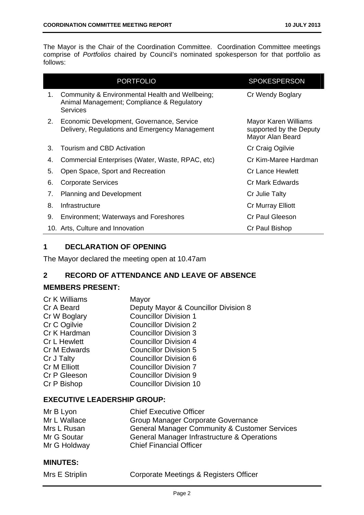The Mayor is the Chair of the Coordination Committee. Coordination Committee meetings comprise of *Portfolios* chaired by Council's nominated spokesperson for that portfolio as follows:

|    | <b>PORTFOLIO</b>                                                                                                 | <b>SPOKESPERSON</b>                                                 |
|----|------------------------------------------------------------------------------------------------------------------|---------------------------------------------------------------------|
| 1. | Community & Environmental Health and Wellbeing;<br>Animal Management; Compliance & Regulatory<br><b>Services</b> | Cr Wendy Boglary                                                    |
| 2. | Economic Development, Governance, Service<br>Delivery, Regulations and Emergency Management                      | Mayor Karen Williams<br>supported by the Deputy<br>Mayor Alan Beard |
| 3. | Tourism and CBD Activation                                                                                       | Cr Craig Ogilvie                                                    |
| 4. | Commercial Enterprises (Water, Waste, RPAC, etc)                                                                 | Cr Kim-Maree Hardman                                                |
| 5. | Open Space, Sport and Recreation                                                                                 | <b>Cr Lance Hewlett</b>                                             |
| 6. | <b>Corporate Services</b>                                                                                        | Cr Mark Edwards                                                     |
| 7. | <b>Planning and Development</b>                                                                                  | Cr Julie Talty                                                      |
| 8. | Infrastructure                                                                                                   | Cr Murray Elliott                                                   |
| 9. | <b>Environment; Waterways and Foreshores</b>                                                                     | Cr Paul Gleeson                                                     |
|    | 10. Arts, Culture and Innovation                                                                                 | Cr Paul Bishop                                                      |

#### **1 DECLARATION OF OPENING**

The Mayor declared the meeting open at 10.47am

#### **2 RECORD OF ATTENDANCE AND LEAVE OF ABSENCE**

#### **MEMBERS PRESENT:**

| Cr K Williams       | Mayor                                |
|---------------------|--------------------------------------|
| Cr A Beard          | Deputy Mayor & Councillor Division 8 |
| Cr W Boglary        | <b>Councillor Division 1</b>         |
| Cr C Ogilvie        | <b>Councillor Division 2</b>         |
| Cr K Hardman        | <b>Councillor Division 3</b>         |
| <b>Cr L Hewlett</b> | <b>Councillor Division 4</b>         |
| Cr M Edwards        | <b>Councillor Division 5</b>         |
| Cr J Talty          | <b>Councillor Division 6</b>         |
| Cr M Elliott        | <b>Councillor Division 7</b>         |
| Cr P Gleeson        | <b>Councillor Division 9</b>         |
| Cr P Bishop         | <b>Councillor Division 10</b>        |
|                     |                                      |

#### **EXECUTIVE LEADERSHIP GROUP:**

| Mr B Lyon    | <b>Chief Executive Officer</b>                           |
|--------------|----------------------------------------------------------|
| Mr L Wallace | Group Manager Corporate Governance                       |
| Mrs L Rusan  | <b>General Manager Community &amp; Customer Services</b> |
| Mr G Soutar  | General Manager Infrastructure & Operations              |
| Mr G Holdway | <b>Chief Financial Officer</b>                           |

#### **MINUTES:**

| Mrs E Striplin |  |  |
|----------------|--|--|
|                |  |  |
|                |  |  |
|                |  |  |

n **Corporate Meetings & Registers Officer**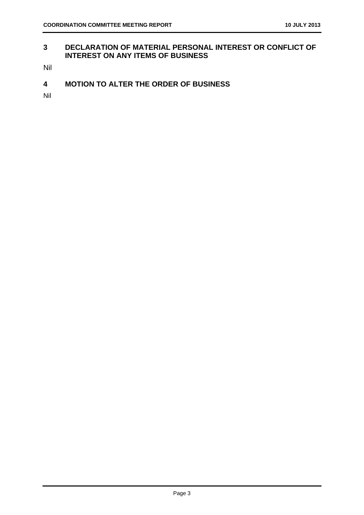#### **3 DECLARATION OF MATERIAL PERSONAL INTEREST OR CONFLICT OF INTEREST ON ANY ITEMS OF BUSINESS**

Nil

**4 MOTION TO ALTER THE ORDER OF BUSINESS** 

Nil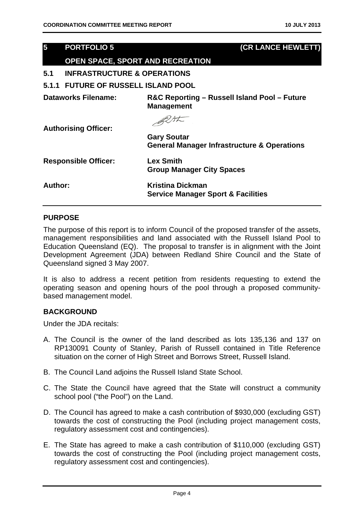# **5 PORTFOLIO 5 (CR LANCE HEWLETT) OPEN SPACE, SPORT AND RECREATION 5.1 INFRASTRUCTURE & OPERATIONS 5.1.1 FUTURE OF RUSSELL ISLAND POOL Dataworks Filename: R&C Reporting – Russell Island Pool – Future Management**  BUSK **Authorising Officer:**

| <b>AULINISING VIIIVEL.</b>  | <b>Gary Soutar</b><br><b>General Manager Infrastructure &amp; Operations</b> |
|-----------------------------|------------------------------------------------------------------------------|
| <b>Responsible Officer:</b> | <b>Lex Smith</b><br><b>Group Manager City Spaces</b>                         |
| Author:                     | <b>Kristina Dickman</b><br><b>Service Manager Sport &amp; Facilities</b>     |

#### **PURPOSE**

The purpose of this report is to inform Council of the proposed transfer of the assets, management responsibilities and land associated with the Russell Island Pool to Education Queensland (EQ). The proposal to transfer is in alignment with the Joint Development Agreement (JDA) between Redland Shire Council and the State of Queensland signed 3 May 2007.

It is also to address a recent petition from residents requesting to extend the operating season and opening hours of the pool through a proposed communitybased management model.

#### **BACKGROUND**

Under the JDA recitals:

- A. The Council is the owner of the land described as lots 135,136 and 137 on RP130091 County of Stanley, Parish of Russell contained in Title Reference situation on the corner of High Street and Borrows Street, Russell Island.
- B. The Council Land adjoins the Russell Island State School.
- C. The State the Council have agreed that the State will construct a community school pool ("the Pool") on the Land.
- D. The Council has agreed to make a cash contribution of \$930,000 (excluding GST) towards the cost of constructing the Pool (including project management costs, regulatory assessment cost and contingencies).
- E. The State has agreed to make a cash contribution of \$110,000 (excluding GST) towards the cost of constructing the Pool (including project management costs, regulatory assessment cost and contingencies).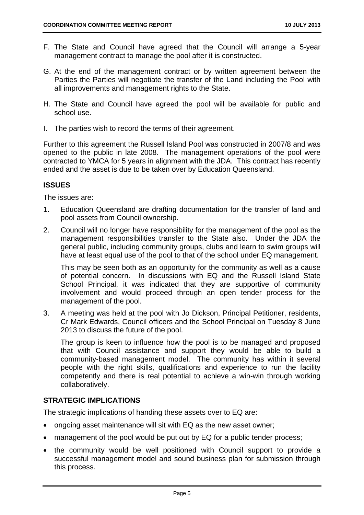- F. The State and Council have agreed that the Council will arrange a 5-year management contract to manage the pool after it is constructed.
- G. At the end of the management contract or by written agreement between the Parties the Parties will negotiate the transfer of the Land including the Pool with all improvements and management rights to the State.
- H. The State and Council have agreed the pool will be available for public and school use.
- I. The parties wish to record the terms of their agreement.

Further to this agreement the Russell Island Pool was constructed in 2007/8 and was opened to the public in late 2008. The management operations of the pool were contracted to YMCA for 5 years in alignment with the JDA. This contract has recently ended and the asset is due to be taken over by Education Queensland.

#### **ISSUES**

The issues are:

- 1. Education Queensland are drafting documentation for the transfer of land and pool assets from Council ownership.
- 2. Council will no longer have responsibility for the management of the pool as the management responsibilities transfer to the State also. Under the JDA the general public, including community groups, clubs and learn to swim groups will have at least equal use of the pool to that of the school under EQ management.

This may be seen both as an opportunity for the community as well as a cause of potential concern. In discussions with EQ and the Russell Island State School Principal, it was indicated that they are supportive of community involvement and would proceed through an open tender process for the management of the pool.

3. A meeting was held at the pool with Jo Dickson, Principal Petitioner, residents, Cr Mark Edwards, Council officers and the School Principal on Tuesday 8 June 2013 to discuss the future of the pool.

The group is keen to influence how the pool is to be managed and proposed that with Council assistance and support they would be able to build a community-based management model. The community has within it several people with the right skills, qualifications and experience to run the facility competently and there is real potential to achieve a win-win through working collaboratively.

#### **STRATEGIC IMPLICATIONS**

The strategic implications of handing these assets over to EQ are:

- ongoing asset maintenance will sit with EQ as the new asset owner;
- management of the pool would be put out by EQ for a public tender process;
- the community would be well positioned with Council support to provide a successful management model and sound business plan for submission through this process.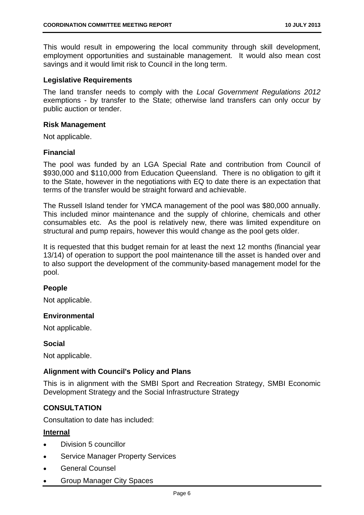This would result in empowering the local community through skill development, employment opportunities and sustainable management. It would also mean cost savings and it would limit risk to Council in the long term.

#### **Legislative Requirements**

The land transfer needs to comply with the *Local Government Regulations 2012*  exemptions - by transfer to the State; otherwise land transfers can only occur by public auction or tender.

#### **Risk Management**

Not applicable.

#### **Financial**

The pool was funded by an LGA Special Rate and contribution from Council of \$930,000 and \$110,000 from Education Queensland. There is no obligation to gift it to the State, however in the negotiations with EQ to date there is an expectation that terms of the transfer would be straight forward and achievable.

The Russell Island tender for YMCA management of the pool was \$80,000 annually. This included minor maintenance and the supply of chlorine, chemicals and other consumables etc. As the pool is relatively new, there was limited expenditure on structural and pump repairs, however this would change as the pool gets older.

It is requested that this budget remain for at least the next 12 months (financial year 13/14) of operation to support the pool maintenance till the asset is handed over and to also support the development of the community-based management model for the pool.

#### **People**

Not applicable.

#### **Environmental**

Not applicable.

#### **Social**

Not applicable.

#### **Alignment with Council's Policy and Plans**

This is in alignment with the SMBI Sport and Recreation Strategy, SMBI Economic Development Strategy and the Social Infrastructure Strategy

#### **CONSULTATION**

Consultation to date has included:

#### **Internal**

- Division 5 councillor
- Service Manager Property Services
- General Counsel
- Group Manager City Spaces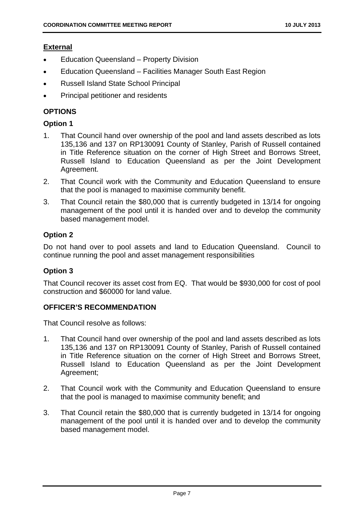#### **External**

- Education Queensland Property Division
- Education Queensland Facilities Manager South East Region
- Russell Island State School Principal
- Principal petitioner and residents

#### **OPTIONS**

#### **Option 1**

- 1. That Council hand over ownership of the pool and land assets described as lots 135,136 and 137 on RP130091 County of Stanley, Parish of Russell contained in Title Reference situation on the corner of High Street and Borrows Street, Russell Island to Education Queensland as per the Joint Development Agreement.
- 2. That Council work with the Community and Education Queensland to ensure that the pool is managed to maximise community benefit.
- 3. That Council retain the \$80,000 that is currently budgeted in 13/14 for ongoing management of the pool until it is handed over and to develop the community based management model.

#### **Option 2**

Do not hand over to pool assets and land to Education Queensland. Council to continue running the pool and asset management responsibilities

#### **Option 3**

That Council recover its asset cost from EQ. That would be \$930,000 for cost of pool construction and \$60000 for land value.

#### **OFFICER'S RECOMMENDATION**

That Council resolve as follows:

- 1. That Council hand over ownership of the pool and land assets described as lots 135,136 and 137 on RP130091 County of Stanley, Parish of Russell contained in Title Reference situation on the corner of High Street and Borrows Street, Russell Island to Education Queensland as per the Joint Development Agreement;
- 2. That Council work with the Community and Education Queensland to ensure that the pool is managed to maximise community benefit; and
- 3. That Council retain the \$80,000 that is currently budgeted in 13/14 for ongoing management of the pool until it is handed over and to develop the community based management model.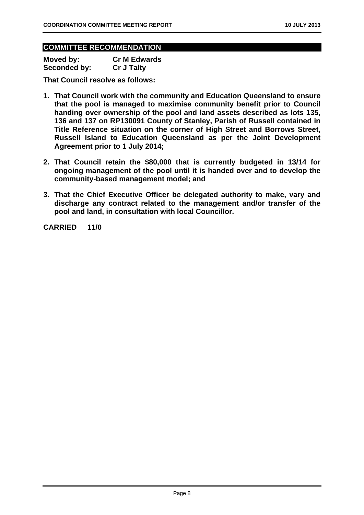#### **COMMITTEE RECOMMENDATION**

| Moved by:           | <b>Cr M Edwards</b> |
|---------------------|---------------------|
| <b>Seconded by:</b> | <b>Cr J Talty</b>   |

**That Council resolve as follows:** 

- **1. That Council work with the community and Education Queensland to ensure that the pool is managed to maximise community benefit prior to Council handing over ownership of the pool and land assets described as lots 135, 136 and 137 on RP130091 County of Stanley, Parish of Russell contained in Title Reference situation on the corner of High Street and Borrows Street, Russell Island to Education Queensland as per the Joint Development Agreement prior to 1 July 2014;**
- **2. That Council retain the \$80,000 that is currently budgeted in 13/14 for ongoing management of the pool until it is handed over and to develop the community-based management model; and**
- **3. That the Chief Executive Officer be delegated authority to make, vary and discharge any contract related to the management and/or transfer of the pool and land, in consultation with local Councillor.**

**CARRIED 11/0**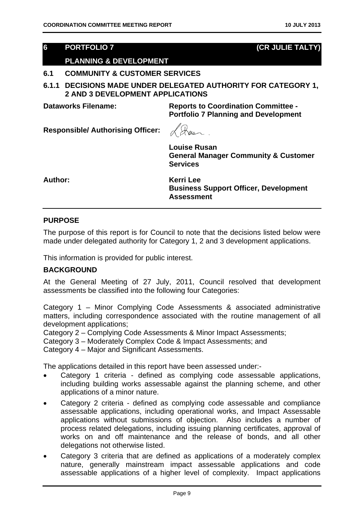#### **6 PORTFOLIO 7 (CR JULIE TALTY)**

#### **PLANNING & DEVELOPMENT**

#### **6.1 COMMUNITY & CUSTOMER SERVICES**

**6.1.1 DECISIONS MADE UNDER DELEGATED AUTHORITY FOR CATEGORY 1, 2 AND 3 DEVELOPMENT APPLICATIONS** 

**Dataworks Filename: Reports to Coordination Committee - Portfolio 7 Planning and Development** 

**Responsible/ Authorising Officer:** 

Wer 

**Louise Rusan General Manager Community & Customer Services** 

**Author: Kerri Lee** 

**Business Support Officer, Development Assessment** 

#### **PURPOSE**

The purpose of this report is for Council to note that the decisions listed below were made under delegated authority for Category 1, 2 and 3 development applications.

This information is provided for public interest.

#### **BACKGROUND**

At the General Meeting of 27 July, 2011, Council resolved that development assessments be classified into the following four Categories:

Category 1 – Minor Complying Code Assessments & associated administrative matters, including correspondence associated with the routine management of all development applications;

Category 2 – Complying Code Assessments & Minor Impact Assessments;

Category 3 – Moderately Complex Code & Impact Assessments; and

Category 4 – Major and Significant Assessments.

The applications detailed in this report have been assessed under:-

- Category 1 criteria defined as complying code assessable applications, including building works assessable against the planning scheme, and other applications of a minor nature.
- Category 2 criteria defined as complying code assessable and compliance assessable applications, including operational works, and Impact Assessable applications without submissions of objection. Also includes a number of process related delegations, including issuing planning certificates, approval of works on and off maintenance and the release of bonds, and all other delegations not otherwise listed.
- Category 3 criteria that are defined as applications of a moderately complex nature, generally mainstream impact assessable applications and code assessable applications of a higher level of complexity. Impact applications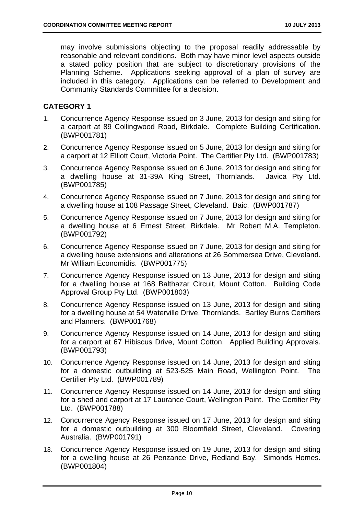may involve submissions objecting to the proposal readily addressable by reasonable and relevant conditions. Both may have minor level aspects outside a stated policy position that are subject to discretionary provisions of the Planning Scheme. Applications seeking approval of a plan of survey are included in this category. Applications can be referred to Development and Community Standards Committee for a decision.

#### **CATEGORY 1**

- 1. Concurrence Agency Response issued on 3 June, 2013 for design and siting for a carport at 89 Collingwood Road, Birkdale. Complete Building Certification. (BWP001781)
- 2. Concurrence Agency Response issued on 5 June, 2013 for design and siting for a carport at 12 Elliott Court, Victoria Point. The Certifier Pty Ltd. (BWP001783)
- 3. Concurrence Agency Response issued on 6 June, 2013 for design and siting for a dwelling house at 31-39A King Street, Thornlands. Javica Pty Ltd. (BWP001785)
- 4. Concurrence Agency Response issued on 7 June, 2013 for design and siting for a dwelling house at 108 Passage Street, Cleveland. Baic. (BWP001787)
- 5. Concurrence Agency Response issued on 7 June, 2013 for design and siting for a dwelling house at 6 Ernest Street, Birkdale. Mr Robert M.A. Templeton. (BWP001792)
- 6. Concurrence Agency Response issued on 7 June, 2013 for design and siting for a dwelling house extensions and alterations at 26 Sommersea Drive, Cleveland. Mr William Economidis. (BWP001775)
- 7. Concurrence Agency Response issued on 13 June, 2013 for design and siting for a dwelling house at 168 Balthazar Circuit, Mount Cotton. Building Code Approval Group Pty Ltd. (BWP001803)
- 8. Concurrence Agency Response issued on 13 June, 2013 for design and siting for a dwelling house at 54 Waterville Drive, Thornlands. Bartley Burns Certifiers and Planners. (BWP001768)
- 9. Concurrence Agency Response issued on 14 June, 2013 for design and siting for a carport at 67 Hibiscus Drive, Mount Cotton. Applied Building Approvals. (BWP001793)
- 10. Concurrence Agency Response issued on 14 June, 2013 for design and siting for a domestic outbuilding at 523-525 Main Road, Wellington Point. The Certifier Pty Ltd. (BWP001789)
- 11. Concurrence Agency Response issued on 14 June, 2013 for design and siting for a shed and carport at 17 Laurance Court, Wellington Point. The Certifier Pty Ltd. (BWP001788)
- 12. Concurrence Agency Response issued on 17 June, 2013 for design and siting for a domestic outbuilding at 300 Bloomfield Street, Cleveland. Covering Australia. (BWP001791)
- 13. Concurrence Agency Response issued on 19 June, 2013 for design and siting for a dwelling house at 26 Penzance Drive, Redland Bay. Simonds Homes. (BWP001804)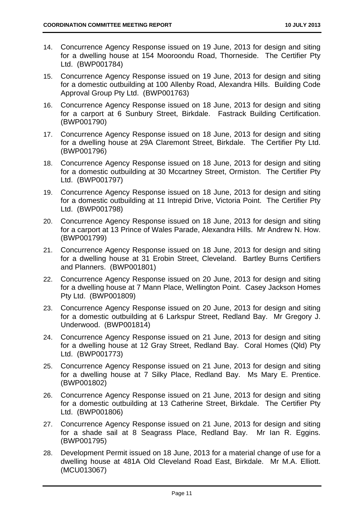- 14. Concurrence Agency Response issued on 19 June, 2013 for design and siting for a dwelling house at 154 Mooroondu Road, Thorneside. The Certifier Pty Ltd. (BWP001784)
- 15. Concurrence Agency Response issued on 19 June, 2013 for design and siting for a domestic outbuilding at 100 Allenby Road, Alexandra Hills. Building Code Approval Group Pty Ltd. (BWP001763)
- 16. Concurrence Agency Response issued on 18 June, 2013 for design and siting for a carport at 6 Sunbury Street, Birkdale. Fastrack Building Certification. (BWP001790)
- 17. Concurrence Agency Response issued on 18 June, 2013 for design and siting for a dwelling house at 29A Claremont Street, Birkdale. The Certifier Pty Ltd. (BWP001796)
- 18. Concurrence Agency Response issued on 18 June, 2013 for design and siting for a domestic outbuilding at 30 Mccartney Street, Ormiston. The Certifier Pty Ltd. (BWP001797)
- 19. Concurrence Agency Response issued on 18 June, 2013 for design and siting for a domestic outbuilding at 11 Intrepid Drive, Victoria Point. The Certifier Pty Ltd. (BWP001798)
- 20. Concurrence Agency Response issued on 18 June, 2013 for design and siting for a carport at 13 Prince of Wales Parade, Alexandra Hills. Mr Andrew N. How. (BWP001799)
- 21. Concurrence Agency Response issued on 18 June, 2013 for design and siting for a dwelling house at 31 Erobin Street, Cleveland. Bartley Burns Certifiers and Planners. (BWP001801)
- 22. Concurrence Agency Response issued on 20 June, 2013 for design and siting for a dwelling house at 7 Mann Place, Wellington Point. Casey Jackson Homes Pty Ltd. (BWP001809)
- 23. Concurrence Agency Response issued on 20 June, 2013 for design and siting for a domestic outbuilding at 6 Larkspur Street, Redland Bay. Mr Gregory J. Underwood. (BWP001814)
- 24. Concurrence Agency Response issued on 21 June, 2013 for design and siting for a dwelling house at 12 Gray Street, Redland Bay. Coral Homes (Qld) Pty Ltd. (BWP001773)
- 25. Concurrence Agency Response issued on 21 June, 2013 for design and siting for a dwelling house at 7 Silky Place, Redland Bay. Ms Mary E. Prentice. (BWP001802)
- 26. Concurrence Agency Response issued on 21 June, 2013 for design and siting for a domestic outbuilding at 13 Catherine Street, Birkdale. The Certifier Pty Ltd. (BWP001806)
- 27. Concurrence Agency Response issued on 21 June, 2013 for design and siting for a shade sail at 8 Seagrass Place, Redland Bay. Mr Ian R. Eggins. (BWP001795)
- 28. Development Permit issued on 18 June, 2013 for a material change of use for a dwelling house at 481A Old Cleveland Road East, Birkdale. Mr M.A. Elliott. (MCU013067)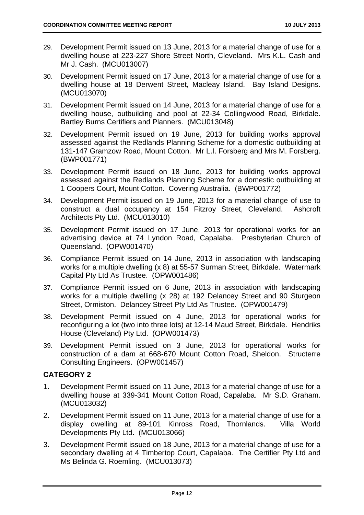- 29. Development Permit issued on 13 June, 2013 for a material change of use for a dwelling house at 223-227 Shore Street North, Cleveland. Mrs K.L. Cash and Mr J. Cash. (MCU013007)
- 30. Development Permit issued on 17 June, 2013 for a material change of use for a dwelling house at 18 Derwent Street, Macleay Island. Bay Island Designs. (MCU013070)
- 31. Development Permit issued on 14 June, 2013 for a material change of use for a dwelling house, outbuilding and pool at 22-34 Collingwood Road, Birkdale. Bartley Burns Certifiers and Planners. (MCU013048)
- 32. Development Permit issued on 19 June, 2013 for building works approval assessed against the Redlands Planning Scheme for a domestic outbuilding at 131-147 Gramzow Road, Mount Cotton. Mr L.I. Forsberg and Mrs M. Forsberg. (BWP001771)
- 33. Development Permit issued on 18 June, 2013 for building works approval assessed against the Redlands Planning Scheme for a domestic outbuilding at 1 Coopers Court, Mount Cotton. Covering Australia. (BWP001772)
- 34. Development Permit issued on 19 June, 2013 for a material change of use to construct a dual occupancy at 154 Fitzroy Street, Cleveland. Ashcroft Architects Pty Ltd. (MCU013010)
- 35. Development Permit issued on 17 June, 2013 for operational works for an advertising device at 74 Lyndon Road, Capalaba. Presbyterian Church of Queensland. (OPW001470)
- 36. Compliance Permit issued on 14 June, 2013 in association with landscaping works for a multiple dwelling (x 8) at 55-57 Surman Street, Birkdale. Watermark Capital Pty Ltd As Trustee. (OPW001486)
- 37. Compliance Permit issued on 6 June, 2013 in association with landscaping works for a multiple dwelling (x 28) at 192 Delancey Street and 90 Sturgeon Street, Ormiston. Delancey Street Pty Ltd As Trustee. (OPW001479)
- 38. Development Permit issued on 4 June, 2013 for operational works for reconfiguring a lot (two into three lots) at 12-14 Maud Street, Birkdale. Hendriks House (Cleveland) Pty Ltd. (OPW001473)
- 39. Development Permit issued on 3 June, 2013 for operational works for construction of a dam at 668-670 Mount Cotton Road, Sheldon. Structerre Consulting Engineers. (OPW001457)

#### **CATEGORY 2**

- 1. Development Permit issued on 11 June, 2013 for a material change of use for a dwelling house at 339-341 Mount Cotton Road, Capalaba. Mr S.D. Graham. (MCU013032)
- 2. Development Permit issued on 11 June, 2013 for a material change of use for a display dwelling at 89-101 Kinross Road, Thornlands. Villa World Developments Pty Ltd. (MCU013066)
- 3. Development Permit issued on 18 June, 2013 for a material change of use for a secondary dwelling at 4 Timbertop Court, Capalaba. The Certifier Pty Ltd and Ms Belinda G. Roemling. (MCU013073)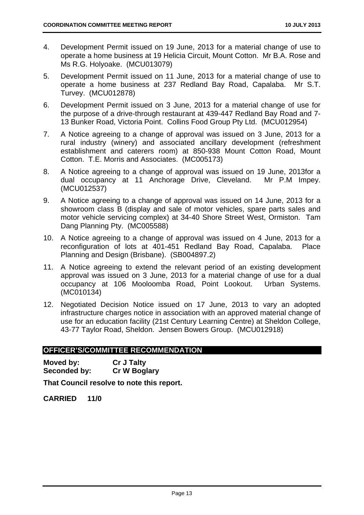- 4. Development Permit issued on 19 June, 2013 for a material change of use to operate a home business at 19 Helicia Circuit, Mount Cotton. Mr B.A. Rose and Ms R.G. Holyoake. (MCU013079)
- 5. Development Permit issued on 11 June, 2013 for a material change of use to operate a home business at 237 Redland Bay Road, Capalaba. Mr S.T. Turvey. (MCU012878)
- 6. Development Permit issued on 3 June, 2013 for a material change of use for the purpose of a drive-through restaurant at 439-447 Redland Bay Road and 7- 13 Bunker Road, Victoria Point. Collins Food Group Pty Ltd. (MCU012954)
- 7. A Notice agreeing to a change of approval was issued on 3 June, 2013 for a rural industry (winery) and associated ancillary development (refreshment establishment and caterers room) at 850-938 Mount Cotton Road, Mount Cotton. T.E. Morris and Associates. (MC005173)
- 8. A Notice agreeing to a change of approval was issued on 19 June, 2013for a dual occupancy at 11 Anchorage Drive, Cleveland. Mr P.M Impey. (MCU012537)
- 9. A Notice agreeing to a change of approval was issued on 14 June, 2013 for a showroom class B (display and sale of motor vehicles, spare parts sales and motor vehicle servicing complex) at 34-40 Shore Street West, Ormiston. Tam Dang Planning Pty. (MC005588)
- 10. A Notice agreeing to a change of approval was issued on 4 June, 2013 for a reconfiguration of lots at 401-451 Redland Bay Road, Capalaba. Place Planning and Design (Brisbane). (SB004897.2)
- 11. A Notice agreeing to extend the relevant period of an existing development approval was issued on 3 June, 2013 for a material change of use for a dual occupancy at 106 Mooloomba Road, Point Lookout. Urban Systems. (MC010134)
- 12. Negotiated Decision Notice issued on 17 June, 2013 to vary an adopted infrastructure charges notice in association with an approved material change of use for an education facility (21st Century Learning Centre) at Sheldon College, 43-77 Taylor Road, Sheldon. Jensen Bowers Group. (MCU012918)

#### **OFFICER'S/COMMITTEE RECOMMENDATION**

| Moved by:    | <b>Cr J Talty</b>   |
|--------------|---------------------|
| Seconded by: | <b>Cr W Boglary</b> |

**That Council resolve to note this report.** 

**CARRIED 11/0**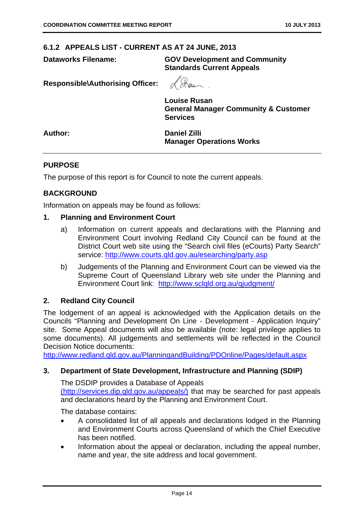#### **6.1.2 APPEALS LIST - CURRENT AS AT 24 JUNE, 2013**

**Dataworks Filename: GOV Development and Community Standards Current Appeals** 

**Responsible\Authorising Officer:** 

**Louise Rusan General Manager Community & Customer Services** 

**Author: Daniel Zilli Manager Operations Works** 

#### **PURPOSE**

The purpose of this report is for Council to note the current appeals.

#### **BACKGROUND**

Information on appeals may be found as follows:

#### **1. Planning and Environment Court**

- a) Information on current appeals and declarations with the Planning and Environment Court involving Redland City Council can be found at the District Court web site using the "Search civil files (eCourts) Party Search" service: http://www.courts.qld.gov.au/esearching/party.asp
- b) Judgements of the Planning and Environment Court can be viewed via the Supreme Court of Queensland Library web site under the Planning and Environment Court link: http://www.sclqld.org.au/qjudgment/

#### **2. Redland City Council**

The lodgement of an appeal is acknowledged with the Application details on the Councils "Planning and Development On Line - Development - Application Inquiry" site. Some Appeal documents will also be available (note: legal privilege applies to some documents). All judgements and settlements will be reflected in the Council Decision Notice documents:

http://www.redland.qld.gov.au/PlanningandBuilding/PDOnline/Pages/default.aspx

#### **3. Department of State Development, Infrastructure and Planning (SDIP)**

The DSDIP provides a Database of Appeals (http://services.dip.qld.gov.au/appeals/) that may be searched for past appeals and declarations heard by the Planning and Environment Court.

The database contains:

- A consolidated list of all appeals and declarations lodged in the Planning and Environment Courts across Queensland of which the Chief Executive has been notified.
- Information about the appeal or declaration, including the appeal number, name and year, the site address and local government.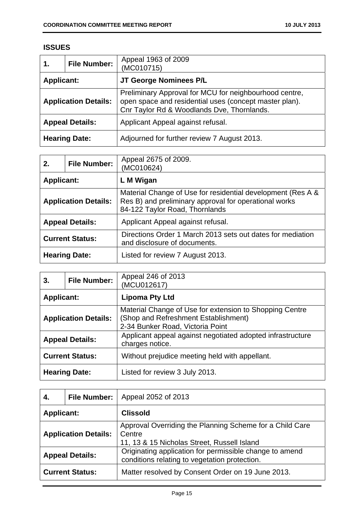### **ISSUES**

| 1.                          | <b>File Number:</b> | Appeal 1963 of 2009<br>(MC010715)                                                                                                                              |
|-----------------------------|---------------------|----------------------------------------------------------------------------------------------------------------------------------------------------------------|
| <b>Applicant:</b>           |                     | JT George Nominees P/L                                                                                                                                         |
| <b>Application Details:</b> |                     | Preliminary Approval for MCU for neighbourhood centre,<br>open space and residential uses (concept master plan).<br>Cnr Taylor Rd & Woodlands Dve, Thornlands. |
| <b>Appeal Details:</b>      |                     | Applicant Appeal against refusal.                                                                                                                              |
| <b>Hearing Date:</b>        |                     | Adjourned for further review 7 August 2013.                                                                                                                    |

| 2.                          | <b>File Number:</b> | Appeal 2675 of 2009.<br>(MC010624)                                                                                                                     |
|-----------------------------|---------------------|--------------------------------------------------------------------------------------------------------------------------------------------------------|
| <b>Applicant:</b>           |                     | L M Wigan                                                                                                                                              |
| <b>Application Details:</b> |                     | Material Change of Use for residential development (Res A &<br>Res B) and preliminary approval for operational works<br>84-122 Taylor Road, Thornlands |
| <b>Appeal Details:</b>      |                     | Applicant Appeal against refusal.                                                                                                                      |
| <b>Current Status:</b>      |                     | Directions Order 1 March 2013 sets out dates for mediation<br>and disclosure of documents.                                                             |
| <b>Hearing Date:</b>        |                     | Listed for review 7 August 2013.                                                                                                                       |

| 3.                          | <b>File Number:</b> | Appeal 246 of 2013<br>(MCU012617)                                                                                                   |
|-----------------------------|---------------------|-------------------------------------------------------------------------------------------------------------------------------------|
| <b>Applicant:</b>           |                     | <b>Lipoma Pty Ltd</b>                                                                                                               |
| <b>Application Details:</b> |                     | Material Change of Use for extension to Shopping Centre<br>(Shop and Refreshment Establishment)<br>2-34 Bunker Road, Victoria Point |
| <b>Appeal Details:</b>      |                     | Applicant appeal against negotiated adopted infrastructure<br>charges notice.                                                       |
| <b>Current Status:</b>      |                     | Without prejudice meeting held with appellant.                                                                                      |
| <b>Hearing Date:</b>        |                     | Listed for review 3 July 2013.                                                                                                      |

| 4.                          | <b>File Number:</b> | Appeal 2052 of 2013                                                                                               |
|-----------------------------|---------------------|-------------------------------------------------------------------------------------------------------------------|
| <b>Applicant:</b>           |                     | <b>Clissold</b>                                                                                                   |
| <b>Application Details:</b> |                     | Approval Overriding the Planning Scheme for a Child Care<br>Centre<br>11, 13 & 15 Nicholas Street, Russell Island |
| <b>Appeal Details:</b>      |                     | Originating application for permissible change to amend<br>conditions relating to vegetation protection.          |
| <b>Current Status:</b>      |                     | Matter resolved by Consent Order on 19 June 2013.                                                                 |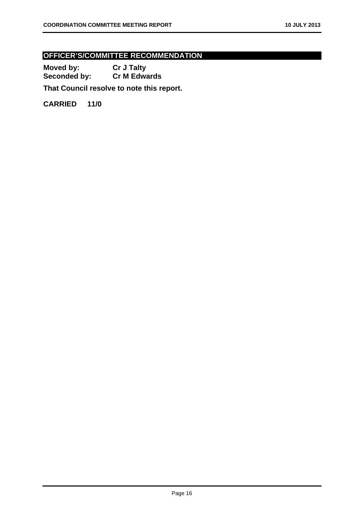### **OFFICER'S/COMMITTEE RECOMMENDATION**

**Moved by: Cr J Talty Seconded by: Cr M Edwards** 

**That Council resolve to note this report.** 

**CARRIED 11/0**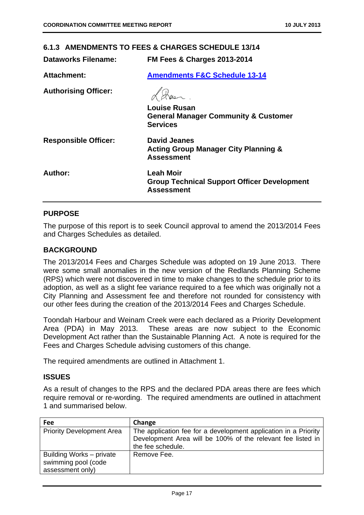| 6.1.3 AMENDMENTS TO FEES & CHARGES SCHEDULE 13/14 |                                                                                             |  |
|---------------------------------------------------|---------------------------------------------------------------------------------------------|--|
| <b>Dataworks Filename:</b>                        | <b>FM Fees &amp; Charges 2013-2014</b>                                                      |  |
| <b>Attachment:</b>                                | <b>Amendments F&amp;C Schedule 13-14</b>                                                    |  |
| <b>Authorising Officer:</b>                       |                                                                                             |  |
|                                                   | <b>Louise Rusan</b><br><b>General Manager Community &amp; Customer</b><br><b>Services</b>   |  |
| <b>Responsible Officer:</b>                       | David Jeanes<br><b>Acting Group Manager City Planning &amp;</b><br>Assessment               |  |
| Author:                                           | <b>Leah Moir</b><br><b>Group Technical Support Officer Development</b><br><b>Assessment</b> |  |

#### **PURPOSE**

The purpose of this report is to seek Council approval to amend the 2013/2014 Fees and Charges Schedules as detailed.

#### **BACKGROUND**

The 2013/2014 Fees and Charges Schedule was adopted on 19 June 2013. There were some small anomalies in the new version of the Redlands Planning Scheme (RPS) which were not discovered in time to make changes to the schedule prior to its adoption, as well as a slight fee variance required to a fee which was originally not a City Planning and Assessment fee and therefore not rounded for consistency with our other fees during the creation of the 2013/2014 Fees and Charges Schedule.

Toondah Harbour and Weinam Creek were each declared as a Priority Development Area (PDA) in May 2013. These areas are now subject to the Economic Development Act rather than the Sustainable Planning Act. A note is required for the Fees and Charges Schedule advising customers of this change.

The required amendments are outlined in Attachment 1.

#### **ISSUES**

As a result of changes to the RPS and the declared PDA areas there are fees which require removal or re-wording. The required amendments are outlined in attachment 1 and summarised below.

| Fee                                                                 | Change                                                                                                                                              |
|---------------------------------------------------------------------|-----------------------------------------------------------------------------------------------------------------------------------------------------|
| <b>Priority Development Area</b>                                    | The application fee for a development application in a Priority<br>Development Area will be 100% of the relevant fee listed in<br>the fee schedule. |
| Building Works – private<br>swimming pool (code<br>assessment only) | Remove Fee.                                                                                                                                         |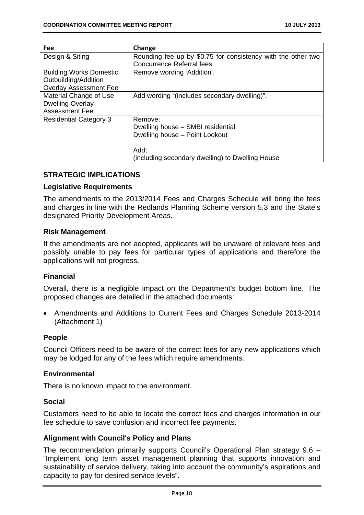| Fee                            | Change                                                       |
|--------------------------------|--------------------------------------------------------------|
| Design & Siting                | Rounding fee up by \$0.75 for consistency with the other two |
|                                | Concurrence Referral fees.                                   |
| <b>Building Works Domestic</b> | Remove wording 'Addition'.                                   |
| Outbuilding/Addition           |                                                              |
| <b>Overlay Assessment Fee</b>  |                                                              |
| Material Change of Use         | Add wording "(includes secondary dwelling)".                 |
| <b>Dwelling Overlay</b>        |                                                              |
| <b>Assessment Fee</b>          |                                                              |
| <b>Residential Category 3</b>  | Remove;                                                      |
|                                | Dwelling house – SMBI residential                            |
|                                | Dwelling house - Point Lookout                               |
|                                |                                                              |
|                                | Add:                                                         |
|                                | (including secondary dwelling) to Dwelling House             |

#### **STRATEGIC IMPLICATIONS**

#### **Legislative Requirements**

The amendments to the 2013/2014 Fees and Charges Schedule will bring the fees and charges in line with the Redlands Planning Scheme version 5.3 and the State's designated Priority Development Areas.

#### **Risk Management**

If the amendments are not adopted, applicants will be unaware of relevant fees and possibly unable to pay fees for particular types of applications and therefore the applications will not progress.

#### **Financial**

Overall, there is a negligible impact on the Department's budget bottom line. The proposed changes are detailed in the attached documents:

 Amendments and Additions to Current Fees and Charges Schedule 2013-2014 (Attachment 1)

#### **People**

Council Officers need to be aware of the correct fees for any new applications which may be lodged for any of the fees which require amendments.

#### **Environmental**

There is no known impact to the environment.

#### **Social**

Customers need to be able to locate the correct fees and charges information in our fee schedule to save confusion and incorrect fee payments.

#### **Alignment with Council's Policy and Plans**

The recommendation primarily supports Council's Operational Plan strategy 9.6 – "Implement long term asset management planning that supports innovation and sustainability of service delivery, taking into account the community's aspirations and capacity to pay for desired service levels".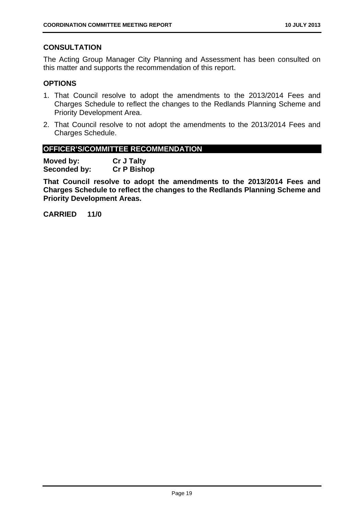#### **CONSULTATION**

The Acting Group Manager City Planning and Assessment has been consulted on this matter and supports the recommendation of this report.

#### **OPTIONS**

- 1. That Council resolve to adopt the amendments to the 2013/2014 Fees and Charges Schedule to reflect the changes to the Redlands Planning Scheme and Priority Development Area.
- 2. That Council resolve to not adopt the amendments to the 2013/2014 Fees and Charges Schedule.

#### **OFFICER'S/COMMITTEE RECOMMENDATION**

**Moved by: Cr J Talty Seconded by: Cr P Bishop** 

**That Council resolve to adopt the amendments to the 2013/2014 Fees and Charges Schedule to reflect the changes to the Redlands Planning Scheme and Priority Development Areas.** 

**CARRIED 11/0**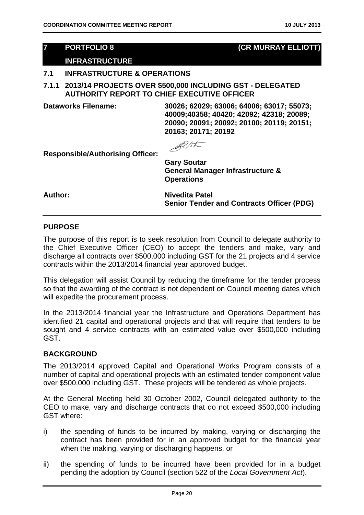#### **7 PORTFOLIO 8 (CR MURRAY ELLIOTT)**

#### **INFRASTRUCTURE**

#### **7.1 INFRASTRUCTURE & OPERATIONS**

**7.1.1 2013/14 PROJECTS OVER \$500,000 INCLUDING GST - DELEGATED AUTHORITY REPORT TO CHIEF EXECUTIVE OFFICER** 

**Dataworks Filename: 30026; 62029; 63006; 64006; 63017; 55073; 40009;40358; 40420; 42092; 42318; 20089; 20090; 20091; 20092; 20100; 20119; 20151; 20163; 20171; 20192** 

RAL

**Responsible/Authorising Officer:** 

**Gary Soutar General Manager Infrastructure & Operations** 

Author: Nivedita Patel **Senior Tender and Contracts Officer (PDG)** 

#### **PURPOSE**

The purpose of this report is to seek resolution from Council to delegate authority to the Chief Executive Officer (CEO) to accept the tenders and make, vary and discharge all contracts over \$500,000 including GST for the 21 projects and 4 service contracts within the 2013/2014 financial year approved budget.

This delegation will assist Council by reducing the timeframe for the tender process so that the awarding of the contract is not dependent on Council meeting dates which will expedite the procurement process.

In the 2013/2014 financial year the Infrastructure and Operations Department has identified 21 capital and operational projects and that will require that tenders to be sought and 4 service contracts with an estimated value over \$500,000 including GST.

#### **BACKGROUND**

The 2013/2014 approved Capital and Operational Works Program consists of a number of capital and operational projects with an estimated tender component value over \$500,000 including GST. These projects will be tendered as whole projects.

At the General Meeting held 30 October 2002, Council delegated authority to the CEO to make, vary and discharge contracts that do not exceed \$500,000 including GST where:

- i) the spending of funds to be incurred by making, varying or discharging the contract has been provided for in an approved budget for the financial year when the making, varying or discharging happens, or
- ii) the spending of funds to be incurred have been provided for in a budget pending the adoption by Council (section 522 of the *Local Government Act*).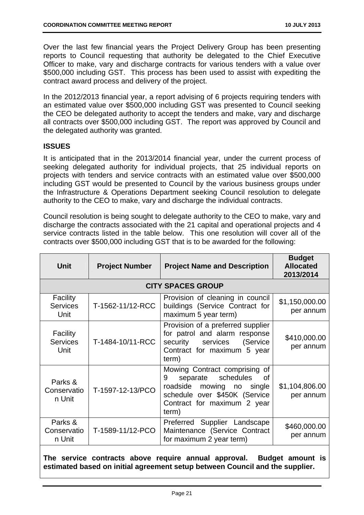Over the last few financial years the Project Delivery Group has been presenting reports to Council requesting that authority be delegated to the Chief Executive Officer to make, vary and discharge contracts for various tenders with a value over \$500,000 including GST. This process has been used to assist with expediting the contract award process and delivery of the project.

In the 2012/2013 financial year, a report advising of 6 projects requiring tenders with an estimated value over \$500,000 including GST was presented to Council seeking the CEO be delegated authority to accept the tenders and make, vary and discharge all contracts over \$500,000 including GST. The report was approved by Council and the delegated authority was granted.

#### **ISSUES**

It is anticipated that in the 2013/2014 financial year, under the current process of seeking delegated authority for individual projects, that 25 individual reports on projects with tenders and service contracts with an estimated value over \$500,000 including GST would be presented to Council by the various business groups under the Infrastructure & Operations Department seeking Council resolution to delegate authority to the CEO to make, vary and discharge the individual contracts.

Council resolution is being sought to delegate authority to the CEO to make, vary and discharge the contracts associated with the 21 capital and operational projects and 4 service contracts listed in the table below. This one resolution will cover all of the contracts over \$500,000 including GST that is to be awarded for the following:

| <b>Unit</b>                         | <b>Project Number</b> | <b>Project Name and Description</b>                                                                                                                                               | <b>Budget</b><br><b>Allocated</b><br>2013/2014 |
|-------------------------------------|-----------------------|-----------------------------------------------------------------------------------------------------------------------------------------------------------------------------------|------------------------------------------------|
|                                     |                       | <b>CITY SPACES GROUP</b>                                                                                                                                                          |                                                |
| Facility<br><b>Services</b><br>Unit | T-1562-11/12-RCC      | Provision of cleaning in council<br>buildings (Service Contract for<br>maximum 5 year term)                                                                                       | \$1,150,000.00<br>per annum                    |
| Facility<br><b>Services</b><br>Unit | T-1484-10/11-RCC      | Provision of a preferred supplier<br>for patrol and alarm response<br>security services (Service<br>Contract for maximum 5 year<br>term)                                          | \$410,000.00<br>per annum                      |
| Parks &<br>Conservatio<br>n Unit    | T-1597-12-13/PCO      | Mowing Contract comprising<br>0f<br>schedules<br>9<br>separate<br><b>of</b><br>roadside mowing no single<br>schedule over \$450K (Service<br>Contract for maximum 2 year<br>term) | \$1,104,806.00<br>per annum                    |
| Parks &<br>Conservatio<br>n Unit    | T-1589-11/12-PCO      | Preferred Supplier Landscape<br>Maintenance (Service Contract<br>for maximum 2 year term)                                                                                         | \$460,000.00<br>per annum                      |
|                                     |                       |                                                                                                                                                                                   |                                                |

**The service contracts above require annual approval. Budget amount is estimated based on initial agreement setup between Council and the supplier.**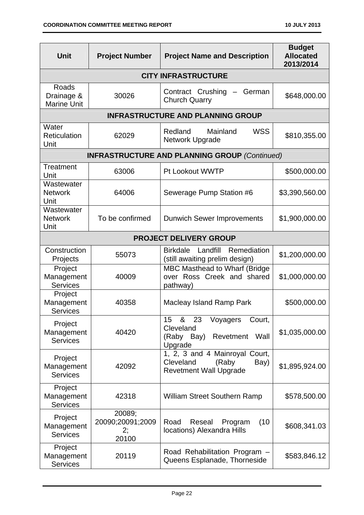| <b>Unit</b>                               | <b>Project Number</b>                     | <b>Project Name and Description</b>                                                                      | <b>Budget</b><br><b>Allocated</b><br>2013/2014 |
|-------------------------------------------|-------------------------------------------|----------------------------------------------------------------------------------------------------------|------------------------------------------------|
|                                           |                                           | <b>CITY INFRASTRUCTURE</b>                                                                               |                                                |
| Roads<br>Drainage &<br><b>Marine Unit</b> | 30026                                     | Contract Crushing<br>German<br><b>Church Quarry</b>                                                      | \$648,000.00                                   |
|                                           |                                           | <b>INFRASTRUCTURE AND PLANNING GROUP</b>                                                                 |                                                |
| Water<br><b>Reticulation</b><br>Unit      | 62029                                     | Redland<br><b>WSS</b><br>Mainland<br>Network Upgrade                                                     | \$810,355.00                                   |
|                                           |                                           | <b>INFRASTRUCTURE AND PLANNING GROUP (Continued)</b>                                                     |                                                |
| <b>Treatment</b><br>Unit                  | 63006                                     | Pt Lookout WWTP                                                                                          | \$500,000.00                                   |
| Wastewater<br><b>Network</b><br>Unit      | 64006                                     | Sewerage Pump Station #6                                                                                 | \$3,390,560.00                                 |
| Wastewater<br><b>Network</b><br>Unit      | To be confirmed                           | <b>Dunwich Sewer Improvements</b>                                                                        | \$1,900,000.00                                 |
|                                           |                                           | <b>PROJECT DELIVERY GROUP</b>                                                                            |                                                |
| Construction<br>Projects                  | 55073                                     | <b>Birkdale</b><br>Landfill<br>Remediation<br>(still awaiting prelim design)                             | \$1,200,000.00                                 |
| Project<br>Management<br><b>Services</b>  | 40009                                     | MBC Masthead to Wharf (Bridge<br>over Ross Creek and shared<br>pathway)                                  | \$1,000,000.00                                 |
| Project<br>Management<br><b>Services</b>  | 40358                                     | <b>Macleay Island Ramp Park</b>                                                                          | \$500,000.00                                   |
| Project<br>Management<br><b>Services</b>  | 40420                                     | & 23<br>15 <sub>1</sub><br>Voyagers<br>Court,<br>Cleveland<br>(Raby Bay)<br>Revetment<br>Wall<br>Upgrade | \$1,035,000.00                                 |
| Project<br>Management<br><b>Services</b>  | 42092                                     | 1, 2, 3 and 4 Mainroyal Court,<br>Cleveland<br>(Raby<br>Bay)<br><b>Revetment Wall Upgrade</b>            | \$1,895,924.00                                 |
| Project<br>Management<br><b>Services</b>  | 42318                                     | <b>William Street Southern Ramp</b>                                                                      | \$578,500.00                                   |
| Project<br>Management<br><b>Services</b>  | 20089;<br>20090;20091;2009<br>2;<br>20100 | Road<br>(10)<br>Reseal<br>Program<br>locations) Alexandra Hills                                          | \$608,341.03                                   |
| Project<br>Management<br><b>Services</b>  | 20119                                     | Road Rehabilitation Program -<br>Queens Esplanade, Thorneside                                            | \$583,846.12                                   |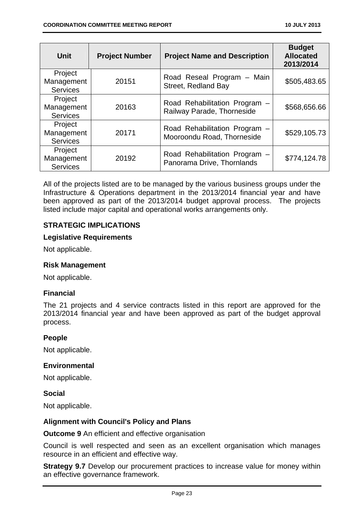| <b>Unit</b>                              | <b>Project Number</b> | <b>Project Name and Description</b>                         | <b>Budget</b><br><b>Allocated</b><br>2013/2014 |
|------------------------------------------|-----------------------|-------------------------------------------------------------|------------------------------------------------|
| Project<br>Management<br><b>Services</b> | 20151                 | Road Reseal Program - Main<br>Street, Redland Bay           | \$505,483.65                                   |
| Project<br>Management<br><b>Services</b> | 20163                 | Road Rehabilitation Program -<br>Railway Parade, Thorneside | \$568,656.66                                   |
| Project<br>Management<br><b>Services</b> | 20171                 | Road Rehabilitation Program -<br>Mooroondu Road, Thorneside | \$529,105.73                                   |
| Project<br>Management<br><b>Services</b> | 20192                 | Road Rehabilitation Program -<br>Panorama Drive, Thornlands | \$774,124.78                                   |

All of the projects listed are to be managed by the various business groups under the Infrastructure & Operations department in the 2013/2014 financial year and have been approved as part of the 2013/2014 budget approval process. The projects listed include major capital and operational works arrangements only.

#### **STRATEGIC IMPLICATIONS**

#### **Legislative Requirements**

Not applicable.

#### **Risk Management**

Not applicable.

#### **Financial**

The 21 projects and 4 service contracts listed in this report are approved for the 2013/2014 financial year and have been approved as part of the budget approval process.

#### **People**

Not applicable.

#### **Environmental**

Not applicable.

#### **Social**

Not applicable.

#### **Alignment with Council's Policy and Plans**

**Outcome 9** An efficient and effective organisation

Council is well respected and seen as an excellent organisation which manages resource in an efficient and effective way.

**Strategy 9.7** Develop our procurement practices to increase value for money within an effective governance framework.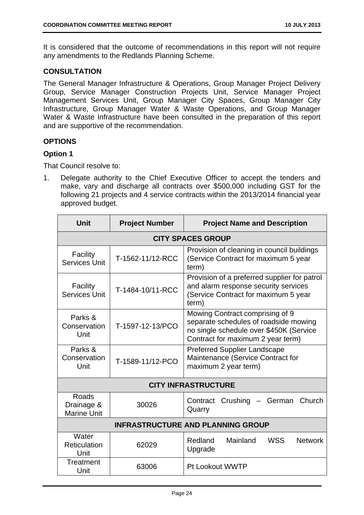It is considered that the outcome of recommendations in this report will not require any amendments to the Redlands Planning Scheme.

#### **CONSULTATION**

The General Manager Infrastructure & Operations, Group Manager Project Delivery Group, Service Manager Construction Projects Unit, Service Manager Project Management Services Unit, Group Manager City Spaces, Group Manager City Infrastructure, Group Manager Water & Waste Operations, and Group Manager Water & Waste Infrastructure have been consulted in the preparation of this report and are supportive of the recommendation.

#### **OPTIONS**

#### **Option 1**

That Council resolve to:

1. Delegate authority to the Chief Executive Officer to accept the tenders and make, vary and discharge all contracts over \$500,000 including GST for the following 21 projects and 4 service contracts within the 2013/2014 financial year approved budget.

| <b>Unit</b>                               | <b>Project Number</b> | <b>Project Name and Description</b>                                                                                                                      |
|-------------------------------------------|-----------------------|----------------------------------------------------------------------------------------------------------------------------------------------------------|
|                                           |                       | <b>CITY SPACES GROUP</b>                                                                                                                                 |
| Facility<br><b>Services Unit</b>          | T-1562-11/12-RCC      | Provision of cleaning in council buildings<br>(Service Contract for maximum 5 year<br>term)                                                              |
| Facility<br>Services Unit                 | T-1484-10/11-RCC      | Provision of a preferred supplier for patrol<br>and alarm response security services<br>(Service Contract for maximum 5 year<br>term)                    |
| Parks &<br>Conservation<br>Unit           | T-1597-12-13/PCO      | Mowing Contract comprising of 9<br>separate schedules of roadside mowing<br>no single schedule over \$450K (Service<br>Contract for maximum 2 year term) |
| Parks &<br>Conservation<br>Unit           | T-1589-11/12-PCO      | <b>Preferred Supplier Landscape</b><br>Maintenance (Service Contract for<br>maximum 2 year term)                                                         |
| <b>CITY INFRASTRUCTURE</b>                |                       |                                                                                                                                                          |
| Roads<br>Drainage &<br><b>Marine Unit</b> | 30026                 | Contract Crushing - German<br>Church<br>Quarry                                                                                                           |
| <b>INFRASTRUCTURE AND PLANNING GROUP</b>  |                       |                                                                                                                                                          |
| Water<br>Reticulation<br>Unit             | 62029                 | <b>WSS</b><br>Redland<br>Mainland<br><b>Network</b><br>Upgrade                                                                                           |
| Treatment<br>Unit                         | 63006                 | Pt Lookout WWTP                                                                                                                                          |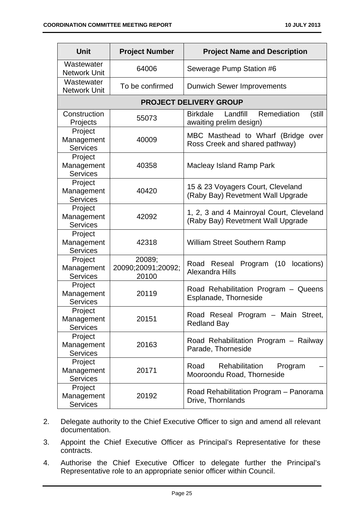| <b>Unit</b>                              | <b>Project Number</b>                 | <b>Project Name and Description</b>                                             |
|------------------------------------------|---------------------------------------|---------------------------------------------------------------------------------|
| Wastewater<br><b>Network Unit</b>        | 64006                                 | Sewerage Pump Station #6                                                        |
| Wastewater<br><b>Network Unit</b>        | To be confirmed                       | <b>Dunwich Sewer Improvements</b>                                               |
|                                          |                                       | <b>PROJECT DELIVERY GROUP</b>                                                   |
| Construction<br>Projects                 | 55073                                 | <b>Birkdale</b><br>Landfill<br>Remediation<br>(still<br>awaiting prelim design) |
| Project<br>Management<br><b>Services</b> | 40009                                 | MBC Masthead to Wharf (Bridge<br>over<br>Ross Creek and shared pathway)         |
| Project<br>Management<br><b>Services</b> | 40358                                 | Macleay Island Ramp Park                                                        |
| Project<br>Management<br><b>Services</b> | 40420                                 | 15 & 23 Voyagers Court, Cleveland<br>(Raby Bay) Revetment Wall Upgrade          |
| Project<br>Management<br><b>Services</b> | 42092                                 | 1, 2, 3 and 4 Mainroyal Court, Cleveland<br>(Raby Bay) Revetment Wall Upgrade   |
| Project<br>Management<br><b>Services</b> | 42318                                 | <b>William Street Southern Ramp</b>                                             |
| Project<br>Management<br><b>Services</b> | 20089;<br>20090;20091;20092;<br>20100 | (10<br>locations)<br>Road<br>Reseal<br>Program<br>Alexandra Hills               |
| Project<br>Management<br><b>Services</b> | 20119                                 | Road Rehabilitation Program - Queens<br>Esplanade, Thorneside                   |
| Project<br>Management<br><b>Services</b> | 20151                                 | Road Reseal Program - Main Street,<br><b>Redland Bay</b>                        |
| Project<br>Management<br><b>Services</b> | 20163                                 | Road Rehabilitation Program - Railway<br>Parade, Thorneside                     |
| Project<br>Management<br><b>Services</b> | 20171                                 | Road<br>Rehabilitation<br>Program<br>Mooroondu Road, Thorneside                 |
| Project<br>Management<br><b>Services</b> | 20192                                 | Road Rehabilitation Program - Panorama<br>Drive, Thornlands                     |

- 2. Delegate authority to the Chief Executive Officer to sign and amend all relevant documentation.
- 3. Appoint the Chief Executive Officer as Principal's Representative for these contracts.
- 4. Authorise the Chief Executive Officer to delegate further the Principal's Representative role to an appropriate senior officer within Council.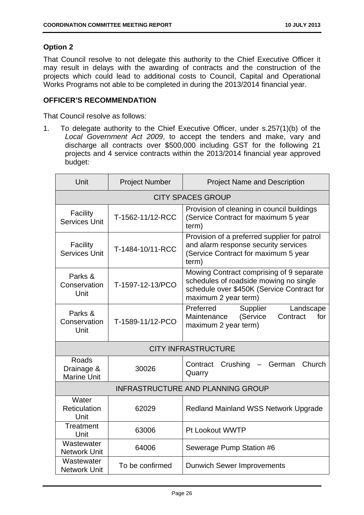#### **Option 2**

That Council resolve to not delegate this authority to the Chief Executive Officer it may result in delays with the awarding of contracts and the construction of the projects which could lead to additional costs to Council, Capital and Operational Works Programs not able to be completed in during the 2013/2014 financial year.

#### **OFFICER'S RECOMMENDATION**

That Council resolve as follows:

1. To delegate authority to the Chief Executive Officer, under s.257(1)(b) of the *Local Government Act 2009*, to accept the tenders and make, vary and discharge all contracts over \$500,000 including GST for the following 21 projects and 4 service contracts within the 2013/2014 financial year approved budget:

| Unit                                      | <b>Project Number</b> | <b>Project Name and Description</b>                                                                                                                      |
|-------------------------------------------|-----------------------|----------------------------------------------------------------------------------------------------------------------------------------------------------|
|                                           |                       | <b>CITY SPACES GROUP</b>                                                                                                                                 |
| Facility<br><b>Services Unit</b>          | T-1562-11/12-RCC      | Provision of cleaning in council buildings<br>(Service Contract for maximum 5 year<br>term)                                                              |
| Facility<br><b>Services Unit</b>          | T-1484-10/11-RCC      | Provision of a preferred supplier for patrol<br>and alarm response security services<br>(Service Contract for maximum 5 year<br>term)                    |
| Parks &<br>Conservation<br>Unit           | T-1597-12-13/PCO      | Mowing Contract comprising of 9 separate<br>schedules of roadside mowing no single<br>schedule over \$450K (Service Contract for<br>maximum 2 year term) |
| Parks &<br>Conservation<br>Unit           | T-1589-11/12-PCO      | Preferred<br>Supplier<br>Landscape<br>(Service<br>Contract<br>Maintenance<br>for<br>maximum 2 year term)                                                 |
| <b>CITY INFRASTRUCTURE</b>                |                       |                                                                                                                                                          |
| Roads<br>Drainage &<br><b>Marine Unit</b> | 30026                 | Contract<br>Crushing<br>German<br>Church<br>Quarry                                                                                                       |
| <b>INFRASTRUCTURE AND PLANNING GROUP</b>  |                       |                                                                                                                                                          |
| Water<br>Reticulation<br>Unit             | 62029                 | <b>Redland Mainland WSS Network Upgrade</b>                                                                                                              |
| Treatment<br>Unit                         | 63006                 | Pt Lookout WWTP                                                                                                                                          |
| Wastewater<br><b>Network Unit</b>         | 64006                 | Sewerage Pump Station #6                                                                                                                                 |
| Wastewater<br><b>Network Unit</b>         | To be confirmed       | <b>Dunwich Sewer Improvements</b>                                                                                                                        |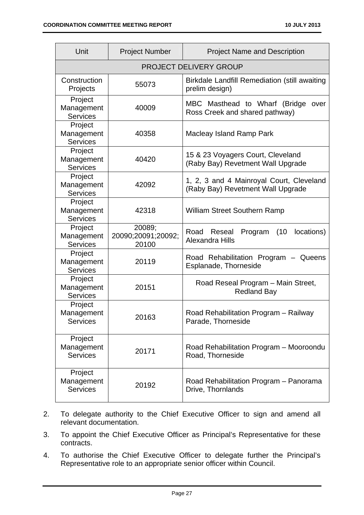| Unit                                     | <b>Project Number</b>                 | <b>Project Name and Description</b>                                           |
|------------------------------------------|---------------------------------------|-------------------------------------------------------------------------------|
|                                          |                                       | <b>PROJECT DELIVERY GROUP</b>                                                 |
| Construction<br>Projects                 | 55073                                 | <b>Birkdale Landfill Remediation (still awaiting</b><br>prelim design)        |
| Project<br>Management<br><b>Services</b> | 40009                                 | MBC Masthead to Wharf (Bridge<br>over<br>Ross Creek and shared pathway)       |
| Project<br>Management<br><b>Services</b> | 40358                                 | Macleay Island Ramp Park                                                      |
| Project<br>Management<br><b>Services</b> | 40420                                 | 15 & 23 Voyagers Court, Cleveland<br>(Raby Bay) Revetment Wall Upgrade        |
| Project<br>Management<br><b>Services</b> | 42092                                 | 1, 2, 3 and 4 Mainroyal Court, Cleveland<br>(Raby Bay) Revetment Wall Upgrade |
| Project<br>Management<br><b>Services</b> | 42318                                 | <b>William Street Southern Ramp</b>                                           |
| Project<br>Management<br><b>Services</b> | 20089;<br>20090;20091;20092;<br>20100 | Reseal<br>Program<br>(10)<br>locations)<br>Road<br>Alexandra Hills            |
| Project<br>Management<br><b>Services</b> | 20119                                 | Road Rehabilitation Program - Queens<br>Esplanade, Thorneside                 |
| Project<br>Management<br><b>Services</b> | 20151                                 | Road Reseal Program - Main Street,<br><b>Redland Bay</b>                      |
| Project<br>Management<br><b>Services</b> | 20163                                 | Road Rehabilitation Program - Railway<br>Parade, Thorneside                   |
| Project<br>Management<br><b>Services</b> | 20171                                 | Road Rehabilitation Program - Mooroondu<br>Road, Thorneside                   |
| Project<br>Management<br><b>Services</b> | 20192                                 | Road Rehabilitation Program - Panorama<br>Drive, Thornlands                   |

- 2. To delegate authority to the Chief Executive Officer to sign and amend all relevant documentation.
- 3. To appoint the Chief Executive Officer as Principal's Representative for these contracts.
- 4. To authorise the Chief Executive Officer to delegate further the Principal's Representative role to an appropriate senior officer within Council.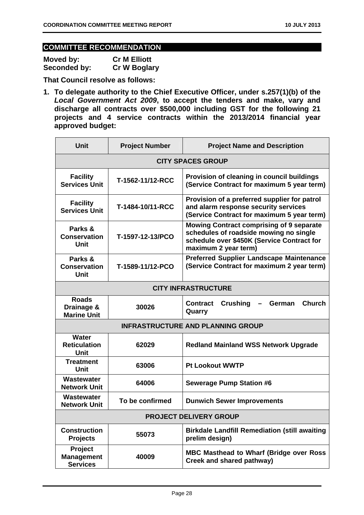# **COMMITTEE RECOMMENDATION**

| Moved by:    | <b>Cr M Elliott</b> |
|--------------|---------------------|
| Seconded by: | <b>Cr W Boglary</b> |

**That Council resolve as follows:** 

**1. To delegate authority to the Chief Executive Officer, under s.257(1)(b) of the**  *Local Government Act 2009***, to accept the tenders and make, vary and discharge all contracts over \$500,000 including GST for the following 21 projects and 4 service contracts within the 2013/2014 financial year approved budget:** 

| Unit                                             | <b>Project Number</b>    | <b>Project Name and Description</b>                                                                                                                             |  |
|--------------------------------------------------|--------------------------|-----------------------------------------------------------------------------------------------------------------------------------------------------------------|--|
|                                                  | <b>CITY SPACES GROUP</b> |                                                                                                                                                                 |  |
| <b>Facility</b><br><b>Services Unit</b>          | T-1562-11/12-RCC         | Provision of cleaning in council buildings<br>(Service Contract for maximum 5 year term)                                                                        |  |
| <b>Facility</b><br><b>Services Unit</b>          | T-1484-10/11-RCC         | Provision of a preferred supplier for patrol<br>and alarm response security services<br>(Service Contract for maximum 5 year term)                              |  |
| Parks &<br><b>Conservation</b><br>Unit           | T-1597-12-13/PCO         | <b>Mowing Contract comprising of 9 separate</b><br>schedules of roadside mowing no single<br>schedule over \$450K (Service Contract for<br>maximum 2 year term) |  |
| Parks &<br><b>Conservation</b><br>Unit           | T-1589-11/12-PCO         | <b>Preferred Supplier Landscape Maintenance</b><br>(Service Contract for maximum 2 year term)                                                                   |  |
|                                                  |                          | <b>CITY INFRASTRUCTURE</b>                                                                                                                                      |  |
| <b>Roads</b><br>Drainage &<br><b>Marine Unit</b> | 30026                    | <b>Church</b><br><b>Crushing</b><br><b>Contract</b><br><b>German</b><br>Quarry                                                                                  |  |
| <b>INFRASTRUCTURE AND PLANNING GROUP</b>         |                          |                                                                                                                                                                 |  |
| <b>Water</b><br><b>Reticulation</b><br>Unit      | 62029                    | <b>Redland Mainland WSS Network Upgrade</b>                                                                                                                     |  |
| <b>Treatment</b><br>Unit                         | 63006                    | <b>Pt Lookout WWTP</b>                                                                                                                                          |  |
| Wastewater<br><b>Network Unit</b>                | 64006                    | <b>Sewerage Pump Station #6</b>                                                                                                                                 |  |
| <b>Wastewater</b><br><b>Network Unit</b>         | To be confirmed          | <b>Dunwich Sewer Improvements</b>                                                                                                                               |  |
| <b>PROJECT DELIVERY GROUP</b>                    |                          |                                                                                                                                                                 |  |
| <b>Construction</b><br><b>Projects</b>           | 55073                    | <b>Birkdale Landfill Remediation (still awaiting</b><br>prelim design)                                                                                          |  |
| Project<br><b>Management</b><br><b>Services</b>  | 40009                    | <b>MBC Masthead to Wharf (Bridge over Ross</b><br>Creek and shared pathway)                                                                                     |  |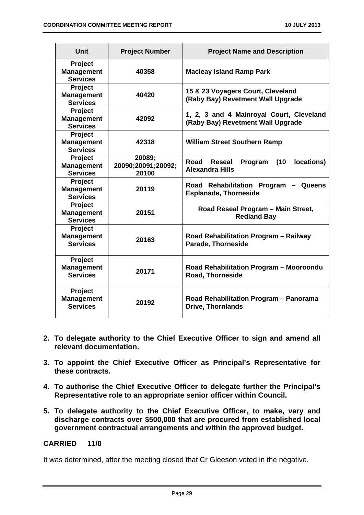| <b>Unit</b>                                            | <b>Project Number</b>                 | <b>Project Name and Description</b>                                           |
|--------------------------------------------------------|---------------------------------------|-------------------------------------------------------------------------------|
| Project<br><b>Management</b><br><b>Services</b>        | 40358                                 | <b>Macleay Island Ramp Park</b>                                               |
| Project<br><b>Management</b><br><b>Services</b>        | 40420                                 | 15 & 23 Voyagers Court, Cleveland<br>(Raby Bay) Revetment Wall Upgrade        |
| Project<br><b>Management</b><br><b>Services</b>        | 42092                                 | 1, 2, 3 and 4 Mainroyal Court, Cleveland<br>(Raby Bay) Revetment Wall Upgrade |
| <b>Project</b><br><b>Management</b><br><b>Services</b> | 42318                                 | <b>William Street Southern Ramp</b>                                           |
| Project<br><b>Management</b><br><b>Services</b>        | 20089;<br>20090;20091;20092;<br>20100 | locations)<br>Road<br>(10)<br>Reseal<br>Program<br><b>Alexandra Hills</b>     |
| Project<br><b>Management</b><br><b>Services</b>        | 20119                                 | Road Rehabilitation Program<br>Queens<br><b>Esplanade, Thorneside</b>         |
| <b>Project</b><br><b>Management</b><br><b>Services</b> | 20151                                 | Road Reseal Program - Main Street,<br><b>Redland Bay</b>                      |
| <b>Project</b><br><b>Management</b><br><b>Services</b> | 20163                                 | Road Rehabilitation Program - Railway<br><b>Parade, Thorneside</b>            |
| <b>Project</b><br><b>Management</b><br><b>Services</b> | 20171                                 | Road Rehabilitation Program - Mooroondu<br><b>Road, Thorneside</b>            |
| Project<br><b>Management</b><br><b>Services</b>        | 20192                                 | Road Rehabilitation Program - Panorama<br><b>Drive, Thornlands</b>            |

- **2. To delegate authority to the Chief Executive Officer to sign and amend all relevant documentation.**
- **3. To appoint the Chief Executive Officer as Principal's Representative for these contracts.**
- **4. To authorise the Chief Executive Officer to delegate further the Principal's Representative role to an appropriate senior officer within Council.**
- **5. To delegate authority to the Chief Executive Officer, to make, vary and discharge contracts over \$500,000 that are procured from established local government contractual arrangements and within the approved budget.**

#### **CARRIED 11/0**

It was determined, after the meeting closed that Cr Gleeson voted in the negative.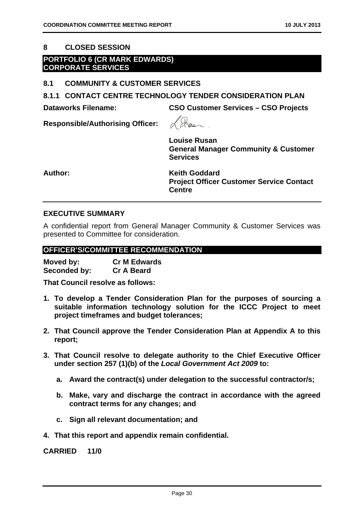#### **8 CLOSED SESSION**

#### **PORTFOLIO 6 (CR MARK EDWARDS) CORPORATE SERVICES**

#### **8.1 COMMUNITY & CUSTOMER SERVICES**

**8.1.1 CONTACT CENTRE TECHNOLOGY TENDER CONSIDERATION PLAN** 

**Dataworks Filename: CSO Customer Services – CSO Projects** 

**Responsible/Authorising Officer:** 

**Louise Rusan General Manager Community & Customer Services** 

**Author: Keith Goddard Project Officer Customer Service Contact Centre** 

#### **EXECUTIVE SUMMARY**

A confidential report from General Manager Community & Customer Services was presented to Committee for consideration.

#### **OFFICER'S/COMMITTEE RECOMMENDATION**

**Moved by: Cr M Edwards Seconded by: Cr A Beard** 

**That Council resolve as follows:** 

- **1. To develop a Tender Consideration Plan for the purposes of sourcing a suitable information technology solution for the ICCC Project to meet project timeframes and budget tolerances;**
- **2. That Council approve the Tender Consideration Plan at Appendix A to this report;**
- **3. That Council resolve to delegate authority to the Chief Executive Officer under section 257 (1)(b) of the** *Local Government Act 2009* **to:** 
	- **a. Award the contract(s) under delegation to the successful contractor/s;**
	- **b. Make, vary and discharge the contract in accordance with the agreed contract terms for any changes; and**
	- **c. Sign all relevant documentation; and**
- **4. That this report and appendix remain confidential.**

**CARRIED 11/0**